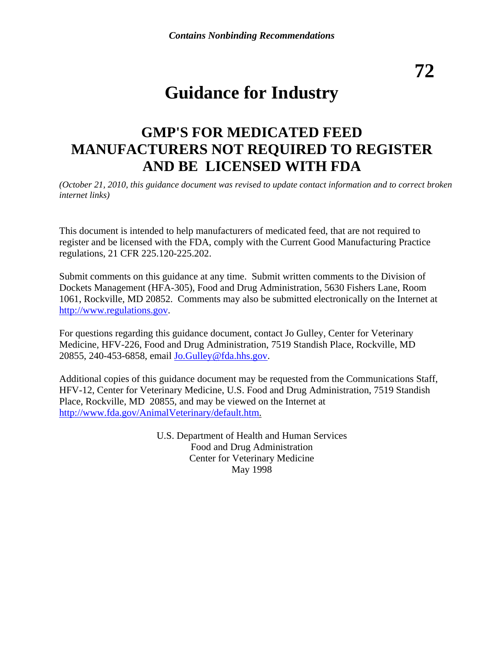**72** 

# **Guidance for Industry**

## **GMP'S FOR MEDICATED FEED MANUFACTURERS NOT REQUIRED TO REGISTER AND BE LICENSED WITH FDA**

*(October 21, 2010, this guidance document was revised to update contact information and to correct broken internet links)*

This document is intended to help manufacturers of medicated feed, that are not required to register and be licensed with the FDA, comply with the Current Good Manufacturing Practice regulations, 21 CFR 225.120-225.202.

Submit comments on this guidance at any time. Submit written comments to the Division of Dockets Management (HFA-305), Food and Drug Administration, 5630 Fishers Lane, Room 1061, Rockville, MD 20852. Comments may also be submitted electronically on the Internet at [http://www.regulations.gov](http://www.regulations.gov/).

For questions regarding this guidance document, contact Jo Gulley, Center for Veterinary Medicine, HFV-226, Food and Drug Administration, 7519 Standish Place, Rockville, MD 20855, 240-453-6858, email [Jo.Gulley@fda.hhs.gov](mailto:Jo.Gulley@fda.hhs.gov).

Additional copies of this guidance document may be requested from the Communications Staff, HFV-12, Center for Veterinary Medicine, U.S. Food and Drug Administration, 7519 Standish Place, Rockville, MD 20855, and may be viewed on the Internet at [http://www.fda.gov/AnimalVeterinary/default.htm.](http://www.fda.gov/AnimalVeterinary/default.htm)

> U.S. Department of Health and Human Services Food and Drug Administration Center for Veterinary Medicine May 1998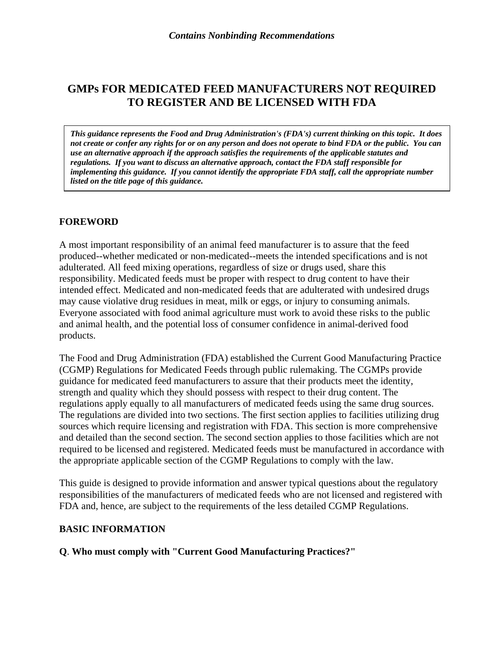## **GMPs FOR MEDICATED FEED MANUFACTURERS NOT REQUIRED TO REGISTER AND BE LICENSED WITH FDA**

*This guidance represents the Food and Drug Administration's (FDA's) current thinking on this topic. It does not create or confer any rights for or on any person and does not operate to bind FDA or the public. You can use an alternative approach if the approach satisfies the requirements of the applicable statutes and regulations. If you want to discuss an alternative approach, contact the FDA staff responsible for implementing this guidance. If you cannot identify the appropriate FDA staff, call the appropriate number listed on the title page of this guidance.* 

#### **FOREWORD**

A most important responsibility of an animal feed manufacturer is to assure that the feed produced--whether medicated or non-medicated--meets the intended specifications and is not adulterated. All feed mixing operations, regardless of size or drugs used, share this responsibility. Medicated feeds must be proper with respect to drug content to have their intended effect. Medicated and non-medicated feeds that are adulterated with undesired drugs may cause violative drug residues in meat, milk or eggs, or injury to consuming animals. Everyone associated with food animal agriculture must work to avoid these risks to the public and animal health, and the potential loss of consumer confidence in animal-derived food products.

The Food and Drug Administration (FDA) established the Current Good Manufacturing Practice (CGMP) Regulations for Medicated Feeds through public rulemaking. The CGMPs provide guidance for medicated feed manufacturers to assure that their products meet the identity, strength and quality which they should possess with respect to their drug content. The regulations apply equally to all manufacturers of medicated feeds using the same drug sources. The regulations are divided into two sections. The first section applies to facilities utilizing drug sources which require licensing and registration with FDA. This section is more comprehensive and detailed than the second section. The second section applies to those facilities which are not required to be licensed and registered. Medicated feeds must be manufactured in accordance with the appropriate applicable section of the CGMP Regulations to comply with the law.

This guide is designed to provide information and answer typical questions about the regulatory responsibilities of the manufacturers of medicated feeds who are not licensed and registered with FDA and, hence, are subject to the requirements of the less detailed CGMP Regulations.

#### **BASIC INFORMATION**

#### **Q**. **Who must comply with "Current Good Manufacturing Practices?"**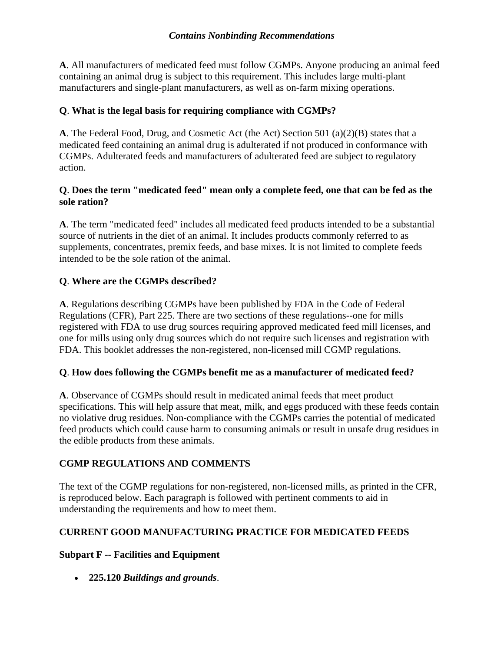**A**. All manufacturers of medicated feed must follow CGMPs. Anyone producing an animal feed containing an animal drug is subject to this requirement. This includes large multi-plant manufacturers and single-plant manufacturers, as well as on-farm mixing operations.

## **Q**. **What is the legal basis for requiring compliance with CGMPs?**

**A**. The Federal Food, Drug, and Cosmetic Act (the Act) Section 501 (a)(2)(B) states that a medicated feed containing an animal drug is adulterated if not produced in conformance with CGMPs. Adulterated feeds and manufacturers of adulterated feed are subject to regulatory action.

## **Q**. **Does the term "medicated feed" mean only a complete feed, one that can be fed as the sole ration?**

**A**. The term "medicated feed" includes all medicated feed products intended to be a substantial source of nutrients in the diet of an animal. It includes products commonly referred to as supplements, concentrates, premix feeds, and base mixes. It is not limited to complete feeds intended to be the sole ration of the animal.

## **Q**. **Where are the CGMPs described?**

**A**. Regulations describing CGMPs have been published by FDA in the Code of Federal Regulations (CFR), Part 225. There are two sections of these regulations--one for mills registered with FDA to use drug sources requiring approved medicated feed mill licenses, and one for mills using only drug sources which do not require such licenses and registration with FDA. This booklet addresses the non-registered, non-licensed mill CGMP regulations.

#### **Q**. **How does following the CGMPs benefit me as a manufacturer of medicated feed?**

**A**. Observance of CGMPs should result in medicated animal feeds that meet product specifications. This will help assure that meat, milk, and eggs produced with these feeds contain no violative drug residues. Non-compliance with the CGMPs carries the potential of medicated feed products which could cause harm to consuming animals or result in unsafe drug residues in the edible products from these animals.

#### **CGMP REGULATIONS AND COMMENTS**

The text of the CGMP regulations for non-registered, non-licensed mills, as printed in the CFR, is reproduced below. Each paragraph is followed with pertinent comments to aid in understanding the requirements and how to meet them.

## **CURRENT GOOD MANUFACTURING PRACTICE FOR MEDICATED FEEDS**

#### **Subpart F -- Facilities and Equipment**

• **225.120** *Buildings and grounds*.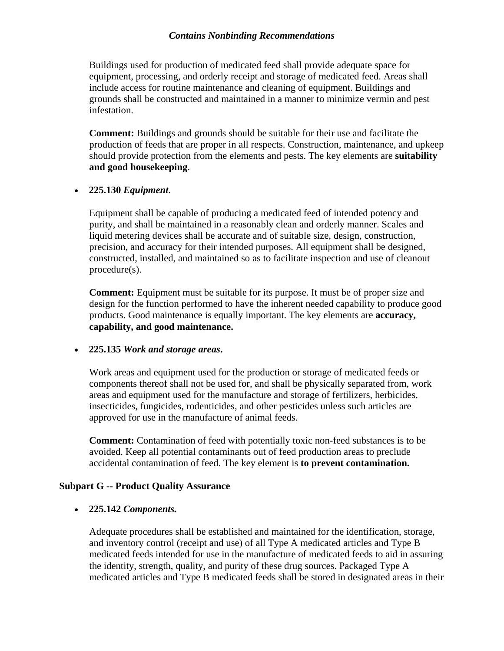Buildings used for production of medicated feed shall provide adequate space for equipment, processing, and orderly receipt and storage of medicated feed. Areas shall include access for routine maintenance and cleaning of equipment. Buildings and grounds shall be constructed and maintained in a manner to minimize vermin and pest infestation.

**Comment:** Buildings and grounds should be suitable for their use and facilitate the production of feeds that are proper in all respects. Construction, maintenance, and upkeep should provide protection from the elements and pests. The key elements are **suitability and good housekeeping**.

#### • **225.130** *Equipment*.

Equipment shall be capable of producing a medicated feed of intended potency and purity, and shall be maintained in a reasonably clean and orderly manner. Scales and liquid metering devices shall be accurate and of suitable size, design, construction, precision, and accuracy for their intended purposes. All equipment shall be designed, constructed, installed, and maintained so as to facilitate inspection and use of cleanout procedure(s).

**Comment:** Equipment must be suitable for its purpose. It must be of proper size and design for the function performed to have the inherent needed capability to produce good products. Good maintenance is equally important. The key elements are **accuracy, capability, and good maintenance.**

#### • **225.135** *Work and storage areas***.**

Work areas and equipment used for the production or storage of medicated feeds or components thereof shall not be used for, and shall be physically separated from, work areas and equipment used for the manufacture and storage of fertilizers, herbicides, insecticides, fungicides, rodenticides, and other pesticides unless such articles are approved for use in the manufacture of animal feeds.

**Comment:** Contamination of feed with potentially toxic non-feed substances is to be avoided. Keep all potential contaminants out of feed production areas to preclude accidental contamination of feed. The key element is **to prevent contamination.**

#### **Subpart G -- Product Quality Assurance**

#### • **225.142** *Components.*

Adequate procedures shall be established and maintained for the identification, storage, and inventory control (receipt and use) of all Type A medicated articles and Type B medicated feeds intended for use in the manufacture of medicated feeds to aid in assuring the identity, strength, quality, and purity of these drug sources. Packaged Type A medicated articles and Type B medicated feeds shall be stored in designated areas in their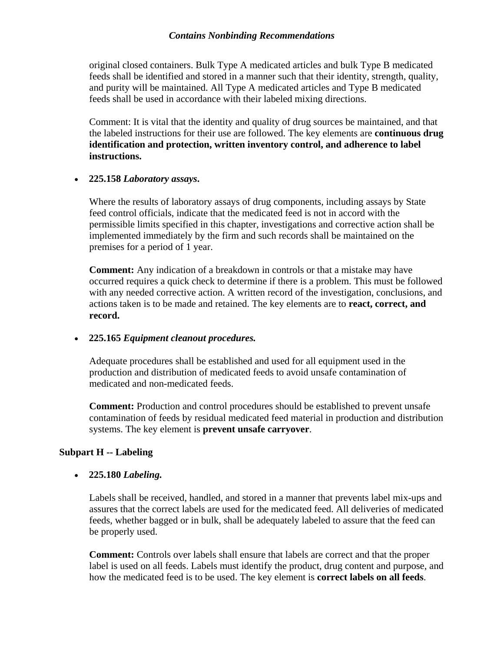original closed containers. Bulk Type A medicated articles and bulk Type B medicated feeds shall be identified and stored in a manner such that their identity, strength, quality, and purity will be maintained. All Type A medicated articles and Type B medicated feeds shall be used in accordance with their labeled mixing directions.

Comment: It is vital that the identity and quality of drug sources be maintained, and that the labeled instructions for their use are followed. The key elements are **continuous drug identification and protection, written inventory control, and adherence to label instructions.**

#### • **225.158** *Laboratory assays***.**

Where the results of laboratory assays of drug components, including assays by State feed control officials, indicate that the medicated feed is not in accord with the permissible limits specified in this chapter, investigations and corrective action shall be implemented immediately by the firm and such records shall be maintained on the premises for a period of 1 year.

**Comment:** Any indication of a breakdown in controls or that a mistake may have occurred requires a quick check to determine if there is a problem. This must be followed with any needed corrective action. A written record of the investigation, conclusions, and actions taken is to be made and retained. The key elements are to **react, correct, and record.**

#### • **225.165** *Equipment cleanout procedures.*

Adequate procedures shall be established and used for all equipment used in the production and distribution of medicated feeds to avoid unsafe contamination of medicated and non-medicated feeds.

**Comment:** Production and control procedures should be established to prevent unsafe contamination of feeds by residual medicated feed material in production and distribution systems. The key element is **prevent unsafe carryover**.

#### **Subpart H -- Labeling**

#### • **225.180** *Labeling.*

Labels shall be received, handled, and stored in a manner that prevents label mix-ups and assures that the correct labels are used for the medicated feed. All deliveries of medicated feeds, whether bagged or in bulk, shall be adequately labeled to assure that the feed can be properly used.

**Comment:** Controls over labels shall ensure that labels are correct and that the proper label is used on all feeds. Labels must identify the product, drug content and purpose, and how the medicated feed is to be used. The key element is **correct labels on all feeds**.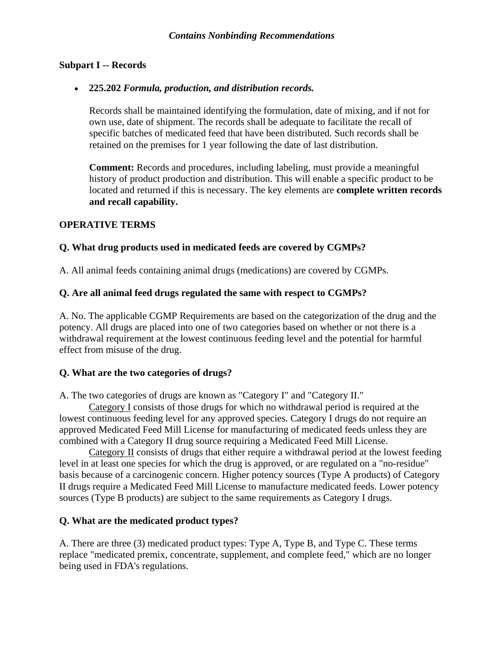#### **Subpart I -- Records**

#### • **225.202** *Formula, production, and distribution records.*

Records shall be maintained identifying the formulation, date of mixing, and if not for own use, date of shipment. The records shall be adequate to facilitate the recall of specific batches of medicated feed that have been distributed. Such records shall be retained on the premises for 1 year following the date of last distribution.

**Comment:** Records and procedures, including labeling, must provide a meaningful history of product production and distribution. This will enable a specific product to be located and returned if this is necessary. The key elements are **complete written records and recall capability.**

#### **OPERATIVE TERMS**

#### **Q. What drug products used in medicated feeds are covered by CGMPs?**

A. All animal feeds containing animal drugs (medications) are covered by CGMPs.

#### **Q. Are all animal feed drugs regulated the same with respect to CGMPs?**

A. No. The applicable CGMP Requirements are based on the categorization of the drug and the potency. All drugs are placed into one of two categories based on whether or not there is a withdrawal requirement at the lowest continuous feeding level and the potential for harmful effect from misuse of the drug.

#### **Q. What are the two categories of drugs?**

A. The two categories of drugs are known as "Category I" and "Category II."

Category I consists of those drugs for which no withdrawal period is required at the lowest continuous feeding level for any approved species. Category I drugs do not require an approved Medicated Feed Mill License for manufacturing of medicated feeds unless they are combined with a Category II drug source requiring a Medicated Feed Mill License.

Category II consists of drugs that either require a withdrawal period at the lowest feeding level in at least one species for which the drug is approved, or are regulated on a "no-residue" basis because of a carcinogenic concern. Higher potency sources (Type A products) of Category II drugs require a Medicated Feed Mill License to manufacture medicated feeds. Lower potency sources (Type B products) are subject to the same requirements as Category I drugs.

#### **Q. What are the medicated product types?**

A. There are three (3) medicated product types: Type A, Type B, and Type C. These terms replace "medicated premix, concentrate, supplement, and complete feed," which are no longer being used in FDA's regulations.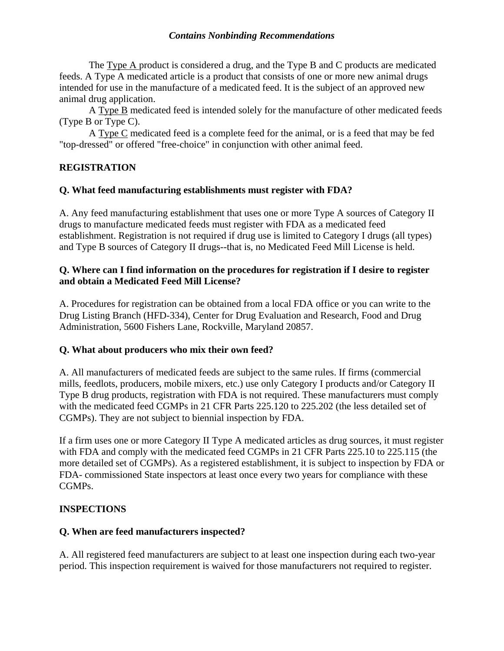The Type A product is considered a drug, and the Type B and C products are medicated feeds. A Type A medicated article is a product that consists of one or more new animal drugs intended for use in the manufacture of a medicated feed. It is the subject of an approved new animal drug application.

A Type B medicated feed is intended solely for the manufacture of other medicated feeds (Type B or Type C).

 A Type C medicated feed is a complete feed for the animal, or is a feed that may be fed "top-dressed" or offered "free-choice" in conjunction with other animal feed.

## **REGISTRATION**

#### **Q. What feed manufacturing establishments must register with FDA?**

A. Any feed manufacturing establishment that uses one or more Type A sources of Category II drugs to manufacture medicated feeds must register with FDA as a medicated feed establishment. Registration is not required if drug use is limited to Category I drugs (all types) and Type B sources of Category II drugs--that is, no Medicated Feed Mill License is held.

#### **Q. Where can I find information on the procedures for registration if I desire to register and obtain a Medicated Feed Mill License?**

A. Procedures for registration can be obtained from a local FDA office or you can write to the Drug Listing Branch (HFD-334), Center for Drug Evaluation and Research, Food and Drug Administration, 5600 Fishers Lane, Rockville, Maryland 20857.

#### **Q. What about producers who mix their own feed?**

A. All manufacturers of medicated feeds are subject to the same rules. If firms (commercial mills, feedlots, producers, mobile mixers, etc.) use only Category I products and/or Category II Type B drug products, registration with FDA is not required. These manufacturers must comply with the medicated feed CGMPs in 21 CFR Parts 225.120 to 225.202 (the less detailed set of CGMPs). They are not subject to biennial inspection by FDA.

If a firm uses one or more Category II Type A medicated articles as drug sources, it must register with FDA and comply with the medicated feed CGMPs in 21 CFR Parts 225.10 to 225.115 (the more detailed set of CGMPs). As a registered establishment, it is subject to inspection by FDA or FDA- commissioned State inspectors at least once every two years for compliance with these CGMPs.

#### **INSPECTIONS**

#### **Q. When are feed manufacturers inspected?**

A. All registered feed manufacturers are subject to at least one inspection during each two-year period. This inspection requirement is waived for those manufacturers not required to register.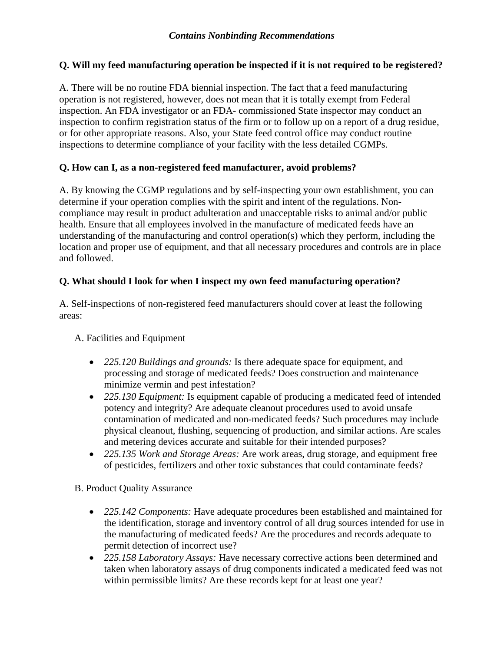## **Q. Will my feed manufacturing operation be inspected if it is not required to be registered?**

A. There will be no routine FDA biennial inspection. The fact that a feed manufacturing operation is not registered, however, does not mean that it is totally exempt from Federal inspection. An FDA investigator or an FDA- commissioned State inspector may conduct an inspection to confirm registration status of the firm or to follow up on a report of a drug residue, or for other appropriate reasons. Also, your State feed control office may conduct routine inspections to determine compliance of your facility with the less detailed CGMPs.

## **Q. How can I, as a non-registered feed manufacturer, avoid problems?**

A. By knowing the CGMP regulations and by self-inspecting your own establishment, you can determine if your operation complies with the spirit and intent of the regulations. Noncompliance may result in product adulteration and unacceptable risks to animal and/or public health. Ensure that all employees involved in the manufacture of medicated feeds have an understanding of the manufacturing and control operation(s) which they perform, including the location and proper use of equipment, and that all necessary procedures and controls are in place and followed.

## **Q. What should I look for when I inspect my own feed manufacturing operation?**

A. Self-inspections of non-registered feed manufacturers should cover at least the following areas:

#### A. Facilities and Equipment

- *225.120 Buildings and grounds:* Is there adequate space for equipment, and processing and storage of medicated feeds? Does construction and maintenance minimize vermin and pest infestation?
- *225.130 Equipment:* Is equipment capable of producing a medicated feed of intended potency and integrity? Are adequate cleanout procedures used to avoid unsafe contamination of medicated and non-medicated feeds? Such procedures may include physical cleanout, flushing, sequencing of production, and similar actions. Are scales and metering devices accurate and suitable for their intended purposes?
- *225.135 Work and Storage Areas:* Are work areas, drug storage, and equipment free of pesticides, fertilizers and other toxic substances that could contaminate feeds?

B. Product Quality Assurance

- *225.142 Components:* Have adequate procedures been established and maintained for the identification, storage and inventory control of all drug sources intended for use in the manufacturing of medicated feeds? Are the procedures and records adequate to permit detection of incorrect use?
- *225.158 Laboratory Assays:* Have necessary corrective actions been determined and taken when laboratory assays of drug components indicated a medicated feed was not within permissible limits? Are these records kept for at least one year?